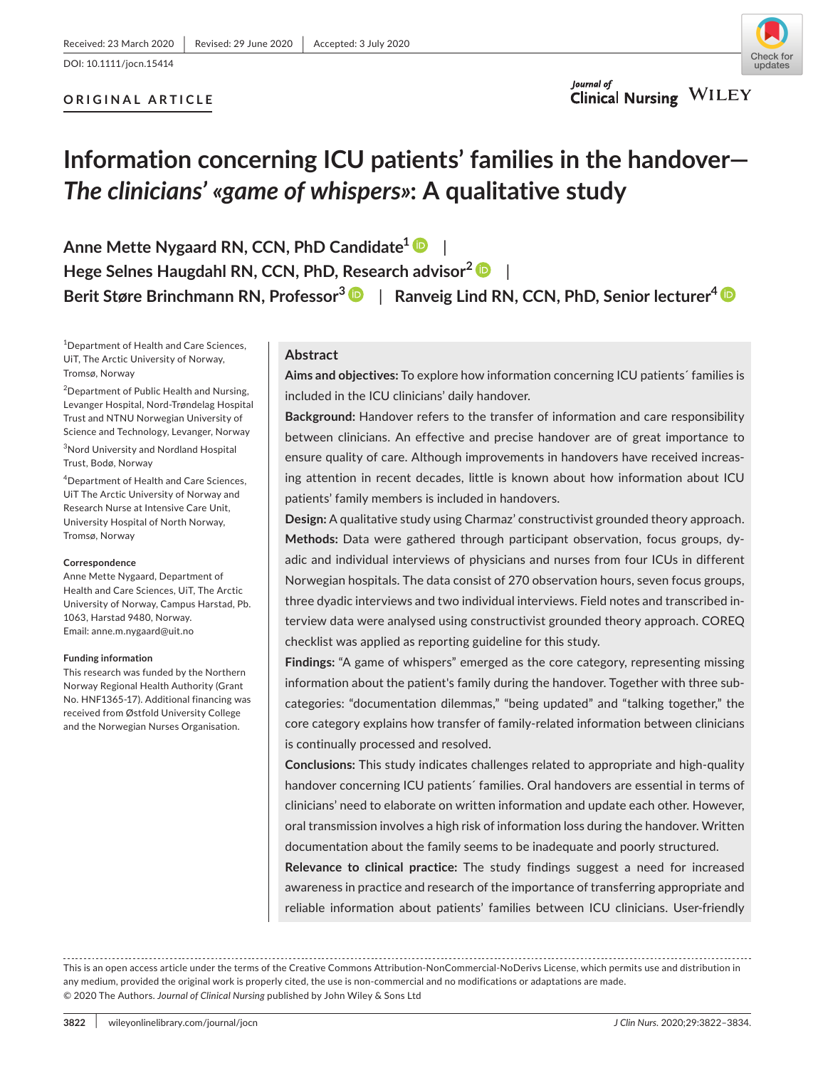DOI: 10.1111/jocn.15414

### **ORIGINAL ARTICLE**



### **Information concerning ICU patients' families in the handover—** *The clinicians' «game of whispers»***: A qualitative study**

**Anne Mette Nygaard RN, CCN, PhD Candidate[1](https://orcid.org/0000-0002-4630-6617)** | **Hege Selnes Haugdahl RN, CCN, PhD, Research advisor[2](https://orcid.org/0000-0003-4483-5264)** | **Berit Støre Brinchmann RN, Professor[3](https://orcid.org/0000-0001-6541-4931)** | **Ranveig Lind RN, CCN, PhD, Senior lecturer4**

<sup>1</sup>Department of Health and Care Sciences, UiT, The Arctic University of Norway, Tromsø, Norway

<sup>2</sup>Department of Public Health and Nursing, Levanger Hospital, Nord-Trøndelag Hospital Trust and NTNU Norwegian University of Science and Technology, Levanger, Norway

3 Nord University and Nordland Hospital Trust, Bodø, Norway

4 Department of Health and Care Sciences, UiT The Arctic University of Norway and Research Nurse at Intensive Care Unit, University Hospital of North Norway, Tromsø, Norway

#### **Correspondence**

Anne Mette Nygaard, Department of Health and Care Sciences, UiT, The Arctic University of Norway, Campus Harstad, Pb. 1063, Harstad 9480, Norway. Email: [anne.m.nygaard@uit.no](mailto:anne.m.nygaard@uit.no)

#### **Funding information**

This research was funded by the Northern Norway Regional Health Authority (Grant No. HNF1365-17). Additional financing was received from Østfold University College and the Norwegian Nurses Organisation.

#### **Abstract**

**Aims and objectives:** To explore how information concerning ICU patients´ families is included in the ICU clinicians' daily handover.

**Background:** Handover refers to the transfer of information and care responsibility between clinicians. An effective and precise handover are of great importance to ensure quality of care. Although improvements in handovers have received increasing attention in recent decades, little is known about how information about ICU patients' family members is included in handovers.

**Design:** A qualitative study using Charmaz' constructivist grounded theory approach. **Methods:** Data were gathered through participant observation, focus groups, dyadic and individual interviews of physicians and nurses from four ICUs in different Norwegian hospitals. The data consist of 270 observation hours, seven focus groups, three dyadic interviews and two individual interviews. Field notes and transcribed interview data were analysed using constructivist grounded theory approach. COREQ checklist was applied as reporting guideline for this study.

**Findings:** "A game of whispers" emerged as the core category, representing missing information about the patient's family during the handover. Together with three subcategories: "documentation dilemmas," "being updated" and "talking together," the core category explains how transfer of family-related information between clinicians is continually processed and resolved.

**Conclusions:** This study indicates challenges related to appropriate and high-quality handover concerning ICU patients´ families. Oral handovers are essential in terms of clinicians' need to elaborate on written information and update each other. However, oral transmission involves a high risk of information loss during the handover. Written documentation about the family seems to be inadequate and poorly structured.

**Relevance to clinical practice:** The study findings suggest a need for increased awareness in practice and research of the importance of transferring appropriate and reliable information about patients' families between ICU clinicians. User-friendly

This is an open access article under the terms of the [Creative Commons Attribution-NonCommercial-NoDerivs](http://creativecommons.org/licenses/by-nc-nd/4.0/) License, which permits use and distribution in any medium, provided the original work is properly cited, the use is non-commercial and no modifications or adaptations are made. © 2020 The Authors. *Journal of Clinical Nursing* published by John Wiley & Sons Ltd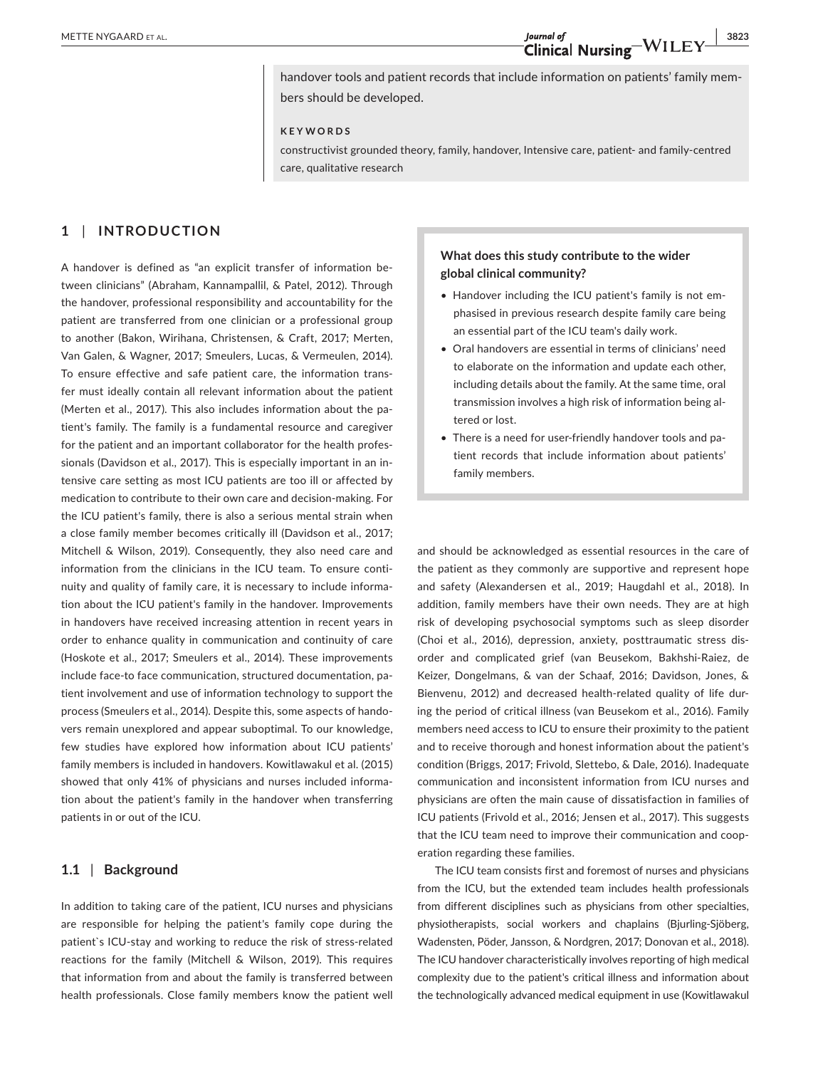handover tools and patient records that include information on patients' family members should be developed.

#### **KEYWORDS**

constructivist grounded theory, family, handover, Intensive care, patient- and family-centred care, qualitative research

#### **1** | **INTRODUCTION**

A handover is defined as "an explicit transfer of information between clinicians" (Abraham, Kannampallil, & Patel, 2012). Through the handover, professional responsibility and accountability for the patient are transferred from one clinician or a professional group to another (Bakon, Wirihana, Christensen, & Craft, 2017; Merten, Van Galen, & Wagner, 2017; Smeulers, Lucas, & Vermeulen, 2014). To ensure effective and safe patient care, the information transfer must ideally contain all relevant information about the patient (Merten et al., 2017). This also includes information about the patient's family. The family is a fundamental resource and caregiver for the patient and an important collaborator for the health professionals (Davidson et al., 2017). This is especially important in an intensive care setting as most ICU patients are too ill or affected by medication to contribute to their own care and decision-making. For the ICU patient's family, there is also a serious mental strain when a close family member becomes critically ill (Davidson et al., 2017; Mitchell & Wilson, 2019). Consequently, they also need care and information from the clinicians in the ICU team. To ensure continuity and quality of family care, it is necessary to include information about the ICU patient's family in the handover. Improvements in handovers have received increasing attention in recent years in order to enhance quality in communication and continuity of care (Hoskote et al., 2017; Smeulers et al., 2014). These improvements include face-to face communication, structured documentation, patient involvement and use of information technology to support the process (Smeulers et al., 2014). Despite this, some aspects of handovers remain unexplored and appear suboptimal. To our knowledge, few studies have explored how information about ICU patients' family members is included in handovers. Kowitlawakul et al. (2015) showed that only 41% of physicians and nurses included information about the patient's family in the handover when transferring patients in or out of the ICU.

#### **1.1** | **Background**

In addition to taking care of the patient, ICU nurses and physicians are responsible for helping the patient's family cope during the patient`s ICU-stay and working to reduce the risk of stress-related reactions for the family (Mitchell & Wilson, 2019). This requires that information from and about the family is transferred between health professionals. Close family members know the patient well

#### **What does this study contribute to the wider global clinical community?**

- Handover including the ICU patient's family is not emphasised in previous research despite family care being an essential part of the ICU team's daily work.
- Oral handovers are essential in terms of clinicians' need to elaborate on the information and update each other, including details about the family. At the same time, oral transmission involves a high risk of information being altered or lost.
- There is a need for user-friendly handover tools and patient records that include information about patients' family members.

and should be acknowledged as essential resources in the care of the patient as they commonly are supportive and represent hope and safety (Alexandersen et al., 2019; Haugdahl et al., 2018). In addition, family members have their own needs. They are at high risk of developing psychosocial symptoms such as sleep disorder (Choi et al., 2016), depression, anxiety, posttraumatic stress disorder and complicated grief (van Beusekom, Bakhshi-Raiez, de Keizer, Dongelmans, & van der Schaaf, 2016; Davidson, Jones, & Bienvenu, 2012) and decreased health-related quality of life during the period of critical illness (van Beusekom et al., 2016). Family members need access to ICU to ensure their proximity to the patient and to receive thorough and honest information about the patient's condition (Briggs, 2017; Frivold, Slettebo, & Dale, 2016). Inadequate communication and inconsistent information from ICU nurses and physicians are often the main cause of dissatisfaction in families of ICU patients (Frivold et al., 2016; Jensen et al., 2017). This suggests that the ICU team need to improve their communication and cooperation regarding these families.

The ICU team consists first and foremost of nurses and physicians from the ICU, but the extended team includes health professionals from different disciplines such as physicians from other specialties, physiotherapists, social workers and chaplains (Bjurling-Sjöberg, Wadensten, Pöder, Jansson, & Nordgren, 2017; Donovan et al., 2018). The ICU handover characteristically involves reporting of high medical complexity due to the patient's critical illness and information about the technologically advanced medical equipment in use (Kowitlawakul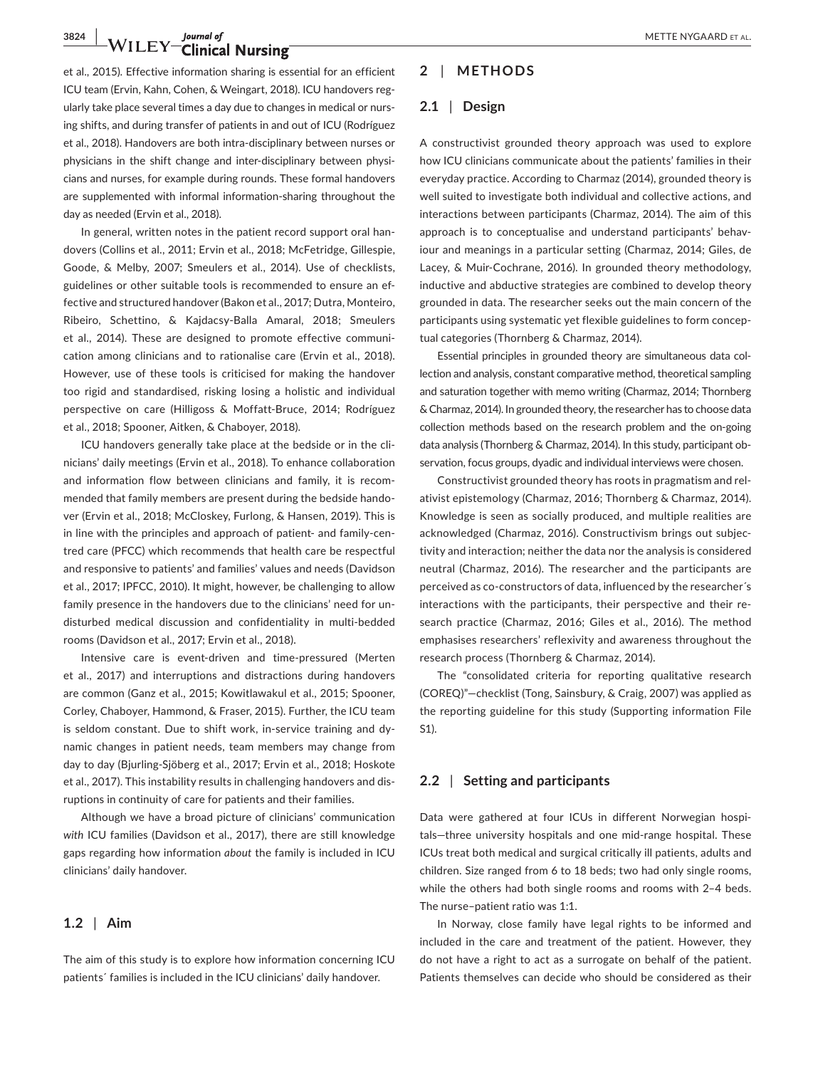### **3824 WILEY** Journal of METTE NYGAARD ET AL.

et al., 2015). Effective information sharing is essential for an efficient ICU team (Ervin, Kahn, Cohen, & Weingart, 2018). ICU handovers regularly take place several times a day due to changes in medical or nursing shifts, and during transfer of patients in and out of ICU (Rodríguez et al., 2018). Handovers are both intra-disciplinary between nurses or physicians in the shift change and inter-disciplinary between physicians and nurses, for example during rounds. These formal handovers are supplemented with informal information-sharing throughout the day as needed (Ervin et al., 2018).

In general, written notes in the patient record support oral handovers (Collins et al., 2011; Ervin et al., 2018; McFetridge, Gillespie, Goode, & Melby, 2007; Smeulers et al., 2014). Use of checklists, guidelines or other suitable tools is recommended to ensure an effective and structured handover (Bakon et al., 2017; Dutra, Monteiro, Ribeiro, Schettino, & Kajdacsy-Balla Amaral, 2018; Smeulers et al., 2014). These are designed to promote effective communication among clinicians and to rationalise care (Ervin et al., 2018). However, use of these tools is criticised for making the handover too rigid and standardised, risking losing a holistic and individual perspective on care (Hilligoss & Moffatt-Bruce, 2014; Rodríguez et al., 2018; Spooner, Aitken, & Chaboyer, 2018).

ICU handovers generally take place at the bedside or in the clinicians' daily meetings (Ervin et al., 2018). To enhance collaboration and information flow between clinicians and family, it is recommended that family members are present during the bedside handover (Ervin et al., 2018; McCloskey, Furlong, & Hansen, 2019). This is in line with the principles and approach of patient- and family-centred care (PFCC) which recommends that health care be respectful and responsive to patients' and families' values and needs (Davidson et al., 2017; IPFCC, 2010). It might, however, be challenging to allow family presence in the handovers due to the clinicians' need for undisturbed medical discussion and confidentiality in multi-bedded rooms (Davidson et al., 2017; Ervin et al., 2018).

Intensive care is event-driven and time-pressured (Merten et al., 2017) and interruptions and distractions during handovers are common (Ganz et al., 2015; Kowitlawakul et al., 2015; Spooner, Corley, Chaboyer, Hammond, & Fraser, 2015). Further, the ICU team is seldom constant. Due to shift work, in-service training and dynamic changes in patient needs, team members may change from day to day (Bjurling-Sjöberg et al., 2017; Ervin et al., 2018; Hoskote et al., 2017). This instability results in challenging handovers and disruptions in continuity of care for patients and their families.

Although we have a broad picture of clinicians' communication *with* ICU families (Davidson et al., 2017), there are still knowledge gaps regarding how information *about* the family is included in ICU clinicians' daily handover.

#### **1.2** | **Aim**

The aim of this study is to explore how information concerning ICU patients´ families is included in the ICU clinicians' daily handover.

#### **2** | **METHODS**

#### **2.1** | **Design**

A constructivist grounded theory approach was used to explore how ICU clinicians communicate about the patients' families in their everyday practice. According to Charmaz (2014), grounded theory is well suited to investigate both individual and collective actions, and interactions between participants (Charmaz, 2014). The aim of this approach is to conceptualise and understand participants' behaviour and meanings in a particular setting (Charmaz, 2014; Giles, de Lacey, & Muir-Cochrane, 2016). In grounded theory methodology, inductive and abductive strategies are combined to develop theory grounded in data. The researcher seeks out the main concern of the participants using systematic yet flexible guidelines to form conceptual categories (Thornberg & Charmaz, 2014).

Essential principles in grounded theory are simultaneous data collection and analysis, constant comparative method, theoretical sampling and saturation together with memo writing (Charmaz, 2014; Thornberg & Charmaz, 2014). In grounded theory, the researcher has to choose data collection methods based on the research problem and the on-going data analysis (Thornberg & Charmaz, 2014). In this study, participant observation, focus groups, dyadic and individual interviews were chosen.

Constructivist grounded theory has roots in pragmatism and relativist epistemology (Charmaz, 2016; Thornberg & Charmaz, 2014). Knowledge is seen as socially produced, and multiple realities are acknowledged (Charmaz, 2016). Constructivism brings out subjectivity and interaction; neither the data nor the analysis is considered neutral (Charmaz, 2016). The researcher and the participants are perceived as co-constructors of data, influenced by the researcher´s interactions with the participants, their perspective and their research practice (Charmaz, 2016; Giles et al., 2016). The method emphasises researchers' reflexivity and awareness throughout the research process (Thornberg & Charmaz, 2014).

The "consolidated criteria for reporting qualitative research (COREQ)"—checklist (Tong, Sainsbury, & Craig, 2007) was applied as the reporting guideline for this study (Supporting information File S1).

#### **2.2** | **Setting and participants**

Data were gathered at four ICUs in different Norwegian hospitals—three university hospitals and one mid-range hospital. These ICUs treat both medical and surgical critically ill patients, adults and children. Size ranged from 6 to 18 beds; two had only single rooms, while the others had both single rooms and rooms with 2–4 beds. The nurse–patient ratio was 1:1.

In Norway, close family have legal rights to be informed and included in the care and treatment of the patient. However, they do not have a right to act as a surrogate on behalf of the patient. Patients themselves can decide who should be considered as their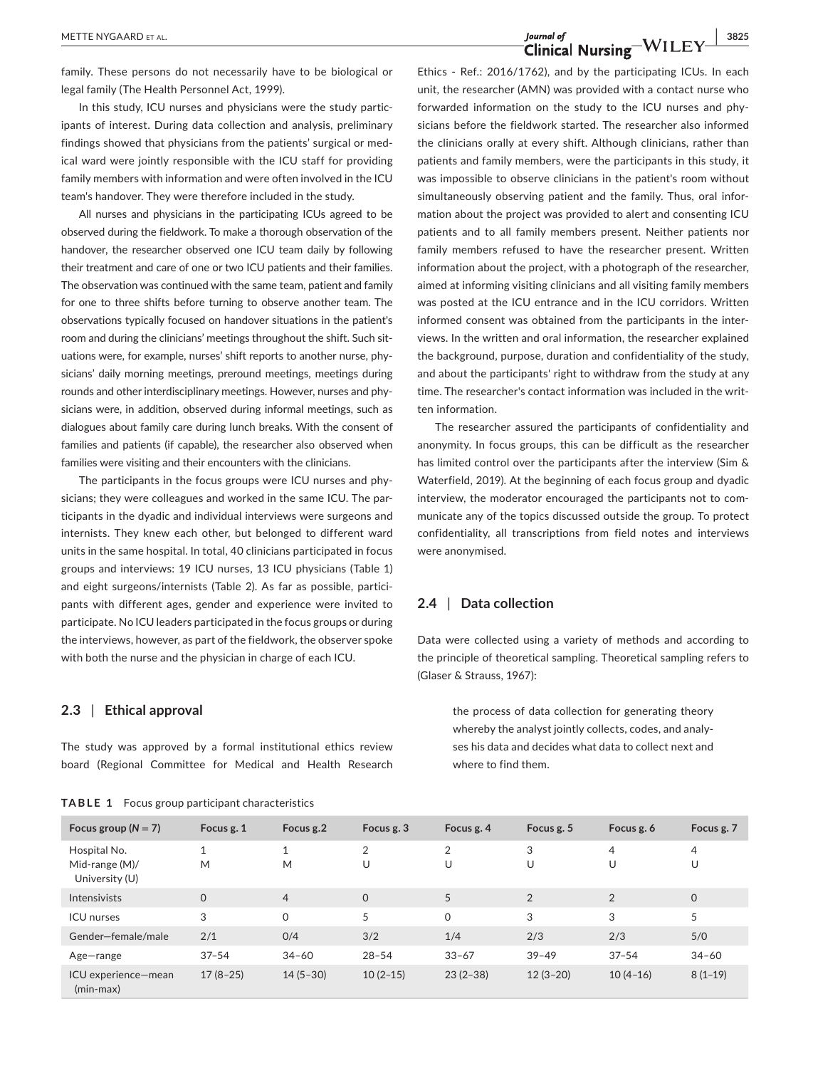**METTE NYGAARD ET AL.** 3825<br> **Clinical Nursing** WILEY 3825

family. These persons do not necessarily have to be biological or legal family (The Health Personnel Act, 1999).

In this study, ICU nurses and physicians were the study participants of interest. During data collection and analysis, preliminary findings showed that physicians from the patients' surgical or medical ward were jointly responsible with the ICU staff for providing family members with information and were often involved in the ICU team's handover. They were therefore included in the study.

All nurses and physicians in the participating ICUs agreed to be observed during the fieldwork. To make a thorough observation of the handover, the researcher observed one ICU team daily by following their treatment and care of one or two ICU patients and their families. The observation was continued with the same team, patient and family for one to three shifts before turning to observe another team. The observations typically focused on handover situations in the patient's room and during the clinicians' meetings throughout the shift. Such situations were, for example, nurses' shift reports to another nurse, physicians' daily morning meetings, preround meetings, meetings during rounds and other interdisciplinary meetings. However, nurses and physicians were, in addition, observed during informal meetings, such as dialogues about family care during lunch breaks. With the consent of families and patients (if capable), the researcher also observed when families were visiting and their encounters with the clinicians.

The participants in the focus groups were ICU nurses and physicians; they were colleagues and worked in the same ICU. The participants in the dyadic and individual interviews were surgeons and internists. They knew each other, but belonged to different ward units in the same hospital. In total, 40 clinicians participated in focus groups and interviews: 19 ICU nurses, 13 ICU physicians (Table 1) and eight surgeons/internists (Table 2). As far as possible, participants with different ages, gender and experience were invited to participate. No ICU leaders participated in the focus groups or during the interviews, however, as part of the fieldwork, the observer spoke with both the nurse and the physician in charge of each ICU.

#### **2.3** | **Ethical approval**

The study was approved by a formal institutional ethics review board (Regional Committee for Medical and Health Research

|  |  | TABLE 1 | Focus group participant characteristics |  |  |  |
|--|--|---------|-----------------------------------------|--|--|--|
|  |  |         |                                         |  |  |  |

Ethics - Ref.: 2016/1762), and by the participating ICUs. In each unit, the researcher (AMN) was provided with a contact nurse who forwarded information on the study to the ICU nurses and physicians before the fieldwork started. The researcher also informed the clinicians orally at every shift. Although clinicians, rather than patients and family members, were the participants in this study, it was impossible to observe clinicians in the patient's room without simultaneously observing patient and the family. Thus, oral information about the project was provided to alert and consenting ICU patients and to all family members present. Neither patients nor family members refused to have the researcher present. Written information about the project, with a photograph of the researcher, aimed at informing visiting clinicians and all visiting family members was posted at the ICU entrance and in the ICU corridors. Written informed consent was obtained from the participants in the interviews. In the written and oral information, the researcher explained the background, purpose, duration and confidentiality of the study, and about the participants' right to withdraw from the study at any time. The researcher's contact information was included in the written information.

The researcher assured the participants of confidentiality and anonymity. In focus groups, this can be difficult as the researcher has limited control over the participants after the interview (Sim & Waterfield, 2019). At the beginning of each focus group and dyadic interview, the moderator encouraged the participants not to communicate any of the topics discussed outside the group. To protect confidentiality, all transcriptions from field notes and interviews were anonymised.

#### **2.4** | **Data collection**

Data were collected using a variety of methods and according to the principle of theoretical sampling. Theoretical sampling refers to (Glaser & Strauss, 1967):

> the process of data collection for generating theory whereby the analyst jointly collects, codes, and analyses his data and decides what data to collect next and where to find them.

| Focus group ( $N = 7$ )                          | Focus g. 1        | Focus g.2         | Focus g. 3          | Focus g. 4          | Focus g. 5     | Focus g. 6          | Focus g. 7 |
|--------------------------------------------------|-------------------|-------------------|---------------------|---------------------|----------------|---------------------|------------|
| Hospital No.<br>Mid-range (M)/<br>University (U) | $\mathbf{1}$<br>M | $\mathbf{1}$<br>M | $\overline{2}$<br>U | $\overline{2}$<br>U | 3<br>U         | $\overline{4}$<br>U | 4<br>U     |
| Intensivists                                     | $\Omega$          | $\overline{4}$    | $\Omega$            | 5                   | $\overline{2}$ | $\overline{2}$      | $\Omega$   |
| <b>ICU</b> nurses                                | 3                 | $\mathbf 0$       | 5                   | $\mathsf{O}$        | 3              | 3                   | 5          |
| Gender-female/male                               | 2/1               | 0/4               | 3/2                 | 1/4                 | 2/3            | 2/3                 | 5/0        |
| Age-range                                        | $37 - 54$         | $34 - 60$         | $28 - 54$           | $33 - 67$           | $39 - 49$      | $37 - 54$           | $34 - 60$  |
| ICU experience-mean<br>$(min-max)$               | $17(8-25)$        | $14(5-30)$        | $10(2-15)$          | $23(2-38)$          | $12(3-20)$     | $10(4-16)$          | $8(1-19)$  |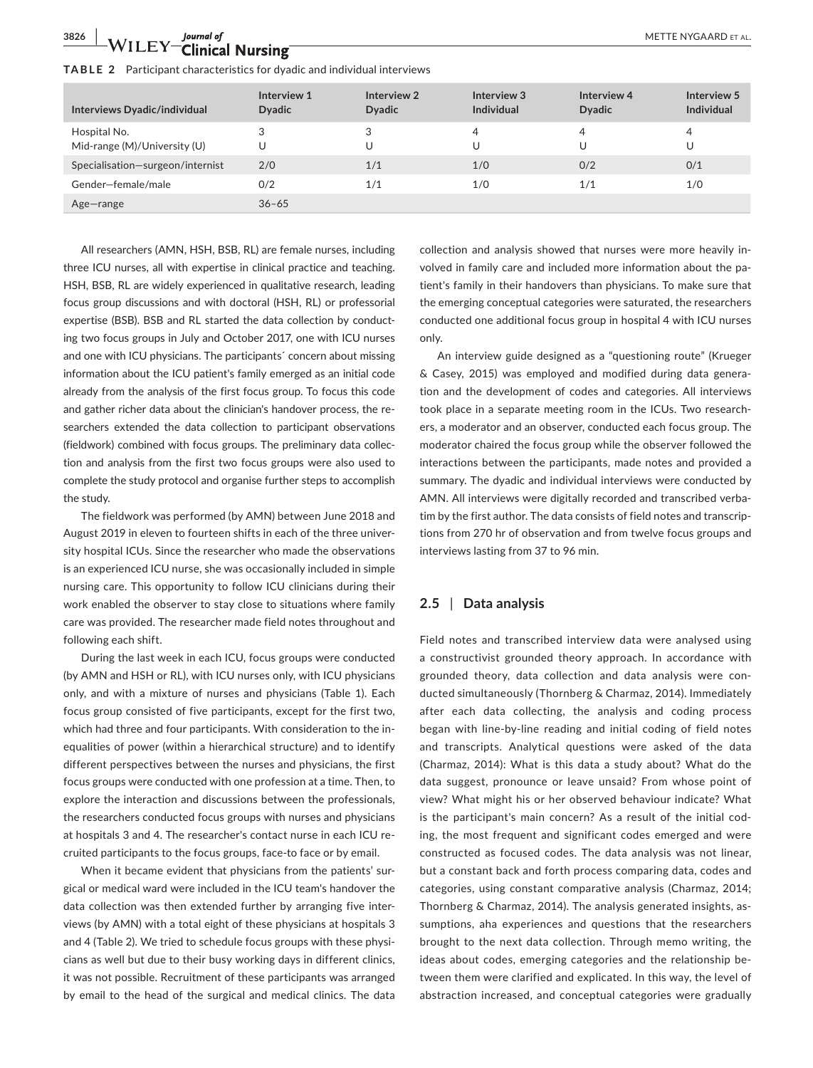# **3826 WILEY** Journal of *METTE NYGAARD ET AL. METTE NYGAARD ET AL.*

| Interviews Dyadic/individual                 | Interview 1<br><b>Dyadic</b> | Interview 2<br><b>Dyadic</b> | Interview 3<br>Individual | Interview 4<br><b>Dyadic</b> | Interview 5<br><b>Individual</b> |
|----------------------------------------------|------------------------------|------------------------------|---------------------------|------------------------------|----------------------------------|
| Hospital No.<br>Mid-range (M)/University (U) |                              | 3<br>U                       | 4<br>U                    | 4                            | 4<br>U                           |
| Specialisation-surgeon/internist             | 2/0                          | 1/1                          | 1/0                       | 0/2                          | 0/1                              |
| Gender-female/male                           | 0/2                          | 1/1                          | 1/0                       | 1/1                          | 1/0                              |
| Age-range                                    | $36 - 65$                    |                              |                           |                              |                                  |

All researchers (AMN, HSH, BSB, RL) are female nurses, including three ICU nurses, all with expertise in clinical practice and teaching. HSH, BSB, RL are widely experienced in qualitative research, leading focus group discussions and with doctoral (HSH, RL) or professorial expertise (BSB). BSB and RL started the data collection by conducting two focus groups in July and October 2017, one with ICU nurses and one with ICU physicians. The participants´ concern about missing information about the ICU patient's family emerged as an initial code already from the analysis of the first focus group. To focus this code and gather richer data about the clinician's handover process, the researchers extended the data collection to participant observations (fieldwork) combined with focus groups. The preliminary data collection and analysis from the first two focus groups were also used to complete the study protocol and organise further steps to accomplish the study.

The fieldwork was performed (by AMN) between June 2018 and August 2019 in eleven to fourteen shifts in each of the three university hospital ICUs. Since the researcher who made the observations is an experienced ICU nurse, she was occasionally included in simple nursing care. This opportunity to follow ICU clinicians during their work enabled the observer to stay close to situations where family care was provided. The researcher made field notes throughout and following each shift.

During the last week in each ICU, focus groups were conducted (by AMN and HSH or RL), with ICU nurses only, with ICU physicians only, and with a mixture of nurses and physicians (Table 1). Each focus group consisted of five participants, except for the first two, which had three and four participants. With consideration to the inequalities of power (within a hierarchical structure) and to identify different perspectives between the nurses and physicians, the first focus groups were conducted with one profession at a time. Then, to explore the interaction and discussions between the professionals, the researchers conducted focus groups with nurses and physicians at hospitals 3 and 4. The researcher's contact nurse in each ICU recruited participants to the focus groups, face-to face or by email.

When it became evident that physicians from the patients' surgical or medical ward were included in the ICU team's handover the data collection was then extended further by arranging five interviews (by AMN) with a total eight of these physicians at hospitals 3 and 4 (Table 2). We tried to schedule focus groups with these physicians as well but due to their busy working days in different clinics, it was not possible. Recruitment of these participants was arranged by email to the head of the surgical and medical clinics. The data

collection and analysis showed that nurses were more heavily involved in family care and included more information about the patient's family in their handovers than physicians. To make sure that the emerging conceptual categories were saturated, the researchers conducted one additional focus group in hospital 4 with ICU nurses only.

An interview guide designed as a "questioning route" (Krueger & Casey, 2015) was employed and modified during data generation and the development of codes and categories. All interviews took place in a separate meeting room in the ICUs. Two researchers, a moderator and an observer, conducted each focus group. The moderator chaired the focus group while the observer followed the interactions between the participants, made notes and provided a summary. The dyadic and individual interviews were conducted by AMN. All interviews were digitally recorded and transcribed verbatim by the first author. The data consists of field notes and transcriptions from 270 hr of observation and from twelve focus groups and interviews lasting from 37 to 96 min.

#### **2.5** | **Data analysis**

Field notes and transcribed interview data were analysed using a constructivist grounded theory approach. In accordance with grounded theory, data collection and data analysis were conducted simultaneously (Thornberg & Charmaz, 2014). Immediately after each data collecting, the analysis and coding process began with line-by-line reading and initial coding of field notes and transcripts. Analytical questions were asked of the data (Charmaz, 2014): What is this data a study about? What do the data suggest, pronounce or leave unsaid? From whose point of view? What might his or her observed behaviour indicate? What is the participant's main concern? As a result of the initial coding, the most frequent and significant codes emerged and were constructed as focused codes. The data analysis was not linear, but a constant back and forth process comparing data, codes and categories, using constant comparative analysis (Charmaz, 2014; Thornberg & Charmaz, 2014). The analysis generated insights, assumptions, aha experiences and questions that the researchers brought to the next data collection. Through memo writing, the ideas about codes, emerging categories and the relationship between them were clarified and explicated. In this way, the level of abstraction increased, and conceptual categories were gradually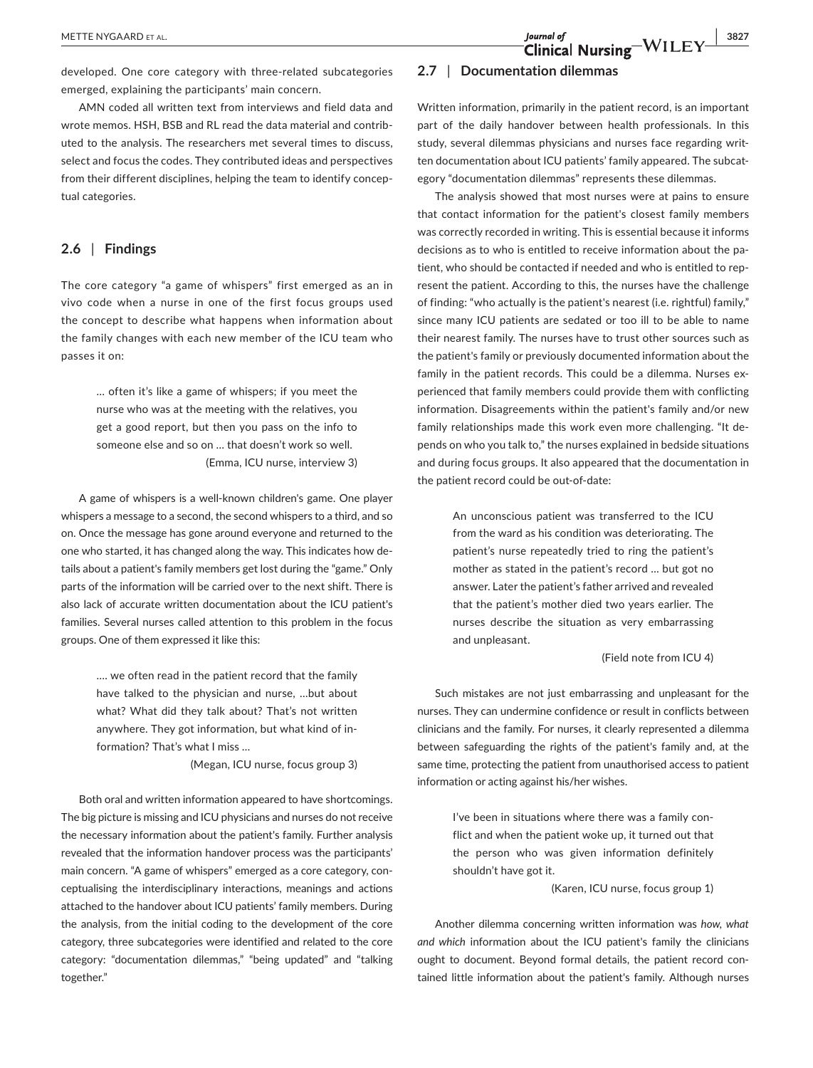### **METTE NYGAARD ET AL. 3827**<br> **Clinical Nursing** WILEY 3827

developed. One core category with three-related subcategories emerged, explaining the participants' main concern.

AMN coded all written text from interviews and field data and wrote memos. HSH, BSB and RL read the data material and contributed to the analysis. The researchers met several times to discuss, select and focus the codes. They contributed ideas and perspectives from their different disciplines, helping the team to identify conceptual categories.

#### **2.6** | **Findings**

The core category "a game of whispers" first emerged as an in vivo code when a nurse in one of the first focus groups used the concept to describe what happens when information about the family changes with each new member of the ICU team who passes it on:

> … often it's like a game of whispers; if you meet the nurse who was at the meeting with the relatives, you get a good report, but then you pass on the info to someone else and so on … that doesn't work so well. (Emma, ICU nurse, interview 3)

A game of whispers is a well-known children's game. One player whispers a message to a second, the second whispers to a third, and so on. Once the message has gone around everyone and returned to the one who started, it has changed along the way. This indicates how details about a patient's family members get lost during the "game." Only parts of the information will be carried over to the next shift. There is also lack of accurate written documentation about the ICU patient's families. Several nurses called attention to this problem in the focus groups. One of them expressed it like this:

> …. we often read in the patient record that the family have talked to the physician and nurse, …but about what? What did they talk about? That's not written anywhere. They got information, but what kind of information? That's what I miss …

> > (Megan, ICU nurse, focus group 3)

Both oral and written information appeared to have shortcomings. The big picture is missing and ICU physicians and nurses do not receive the necessary information about the patient's family. Further analysis revealed that the information handover process was the participants' main concern. "A game of whispers" emerged as a core category, conceptualising the interdisciplinary interactions, meanings and actions attached to the handover about ICU patients' family members. During the analysis, from the initial coding to the development of the core category, three subcategories were identified and related to the core category: "documentation dilemmas," "being updated" and "talking together."

#### **2.7** | **Documentation dilemmas**

Written information, primarily in the patient record, is an important part of the daily handover between health professionals. In this study, several dilemmas physicians and nurses face regarding written documentation about ICU patients' family appeared. The subcategory "documentation dilemmas" represents these dilemmas.

The analysis showed that most nurses were at pains to ensure that contact information for the patient's closest family members was correctly recorded in writing. This is essential because it informs decisions as to who is entitled to receive information about the patient, who should be contacted if needed and who is entitled to represent the patient. According to this, the nurses have the challenge of finding: "who actually is the patient's nearest (i.e. rightful) family," since many ICU patients are sedated or too ill to be able to name their nearest family. The nurses have to trust other sources such as the patient's family or previously documented information about the family in the patient records. This could be a dilemma. Nurses experienced that family members could provide them with conflicting information. Disagreements within the patient's family and/or new family relationships made this work even more challenging. "It depends on who you talk to," the nurses explained in bedside situations and during focus groups. It also appeared that the documentation in the patient record could be out-of-date:

> An unconscious patient was transferred to the ICU from the ward as his condition was deteriorating. The patient's nurse repeatedly tried to ring the patient's mother as stated in the patient's record … but got no answer. Later the patient's father arrived and revealed that the patient's mother died two years earlier. The nurses describe the situation as very embarrassing and unpleasant.

#### (Field note from ICU 4)

Such mistakes are not just embarrassing and unpleasant for the nurses. They can undermine confidence or result in conflicts between clinicians and the family. For nurses, it clearly represented a dilemma between safeguarding the rights of the patient's family and, at the same time, protecting the patient from unauthorised access to patient information or acting against his/her wishes.

> I've been in situations where there was a family conflict and when the patient woke up, it turned out that the person who was given information definitely shouldn't have got it.

(Karen, ICU nurse, focus group 1)

Another dilemma concerning written information was *how, what and which* information about the ICU patient's family the clinicians ought to document. Beyond formal details, the patient record contained little information about the patient's family. Although nurses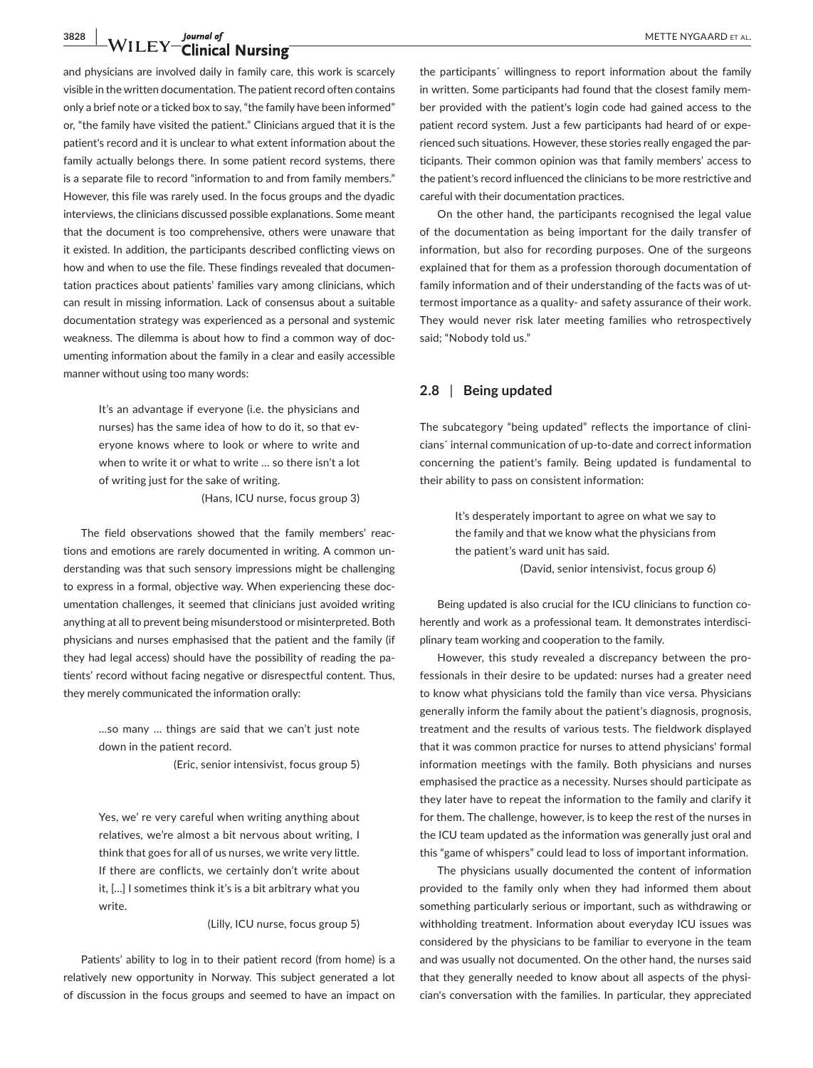## **3828** WILEY Clinical Nursing *burnal of* METTE NYGAARD ET AL.

and physicians are involved daily in family care, this work is scarcely visible in the written documentation. The patient record often contains only a brief note or a ticked box to say, "the family have been informed" or, "the family have visited the patient." Clinicians argued that it is the patient's record and it is unclear to what extent information about the family actually belongs there. In some patient record systems, there is a separate file to record "information to and from family members." However, this file was rarely used. In the focus groups and the dyadic interviews, the clinicians discussed possible explanations. Some meant that the document is too comprehensive, others were unaware that it existed. In addition, the participants described conflicting views on how and when to use the file. These findings revealed that documentation practices about patients' families vary among clinicians, which can result in missing information. Lack of consensus about a suitable documentation strategy was experienced as a personal and systemic weakness. The dilemma is about how to find a common way of documenting information about the family in a clear and easily accessible manner without using too many words:

> It's an advantage if everyone (i.e. the physicians and nurses) has the same idea of how to do it, so that everyone knows where to look or where to write and when to write it or what to write … so there isn't a lot of writing just for the sake of writing.

> > (Hans, ICU nurse, focus group 3)

The field observations showed that the family members' reactions and emotions are rarely documented in writing. A common understanding was that such sensory impressions might be challenging to express in a formal, objective way. When experiencing these documentation challenges, it seemed that clinicians just avoided writing anything at all to prevent being misunderstood or misinterpreted. Both physicians and nurses emphasised that the patient and the family (if they had legal access) should have the possibility of reading the patients' record without facing negative or disrespectful content. Thus, they merely communicated the information orally:

> …so many … things are said that we can't just note down in the patient record.

> > (Eric, senior intensivist, focus group 5)

Yes, we' re very careful when writing anything about relatives, we're almost a bit nervous about writing, I think that goes for all of us nurses, we write very little. If there are conflicts, we certainly don't write about it, […] I sometimes think it's is a bit arbitrary what you write.

(Lilly, ICU nurse, focus group 5)

Patients' ability to log in to their patient record (from home) is a relatively new opportunity in Norway. This subject generated a lot of discussion in the focus groups and seemed to have an impact on

the participants´ willingness to report information about the family in written. Some participants had found that the closest family member provided with the patient's login code had gained access to the patient record system. Just a few participants had heard of or experienced such situations. However, these stories really engaged the participants. Their common opinion was that family members' access to the patient's record influenced the clinicians to be more restrictive and careful with their documentation practices.

On the other hand, the participants recognised the legal value of the documentation as being important for the daily transfer of information, but also for recording purposes. One of the surgeons explained that for them as a profession thorough documentation of family information and of their understanding of the facts was of uttermost importance as a quality- and safety assurance of their work. They would never risk later meeting families who retrospectively said; "Nobody told us."

#### **2.8** | **Being updated**

The subcategory "being updated" reflects the importance of clinicians´ internal communication of up-to-date and correct information concerning the patient's family. Being updated is fundamental to their ability to pass on consistent information:

> It's desperately important to agree on what we say to the family and that we know what the physicians from the patient's ward unit has said.

(David, senior intensivist, focus group 6)

Being updated is also crucial for the ICU clinicians to function coherently and work as a professional team. It demonstrates interdisciplinary team working and cooperation to the family.

However, this study revealed a discrepancy between the professionals in their desire to be updated: nurses had a greater need to know what physicians told the family than vice versa. Physicians generally inform the family about the patient's diagnosis, prognosis, treatment and the results of various tests. The fieldwork displayed that it was common practice for nurses to attend physicians' formal information meetings with the family. Both physicians and nurses emphasised the practice as a necessity. Nurses should participate as they later have to repeat the information to the family and clarify it for them. The challenge, however, is to keep the rest of the nurses in the ICU team updated as the information was generally just oral and this "game of whispers" could lead to loss of important information.

The physicians usually documented the content of information provided to the family only when they had informed them about something particularly serious or important, such as withdrawing or withholding treatment. Information about everyday ICU issues was considered by the physicians to be familiar to everyone in the team and was usually not documented. On the other hand, the nurses said that they generally needed to know about all aspects of the physician's conversation with the families. In particular, they appreciated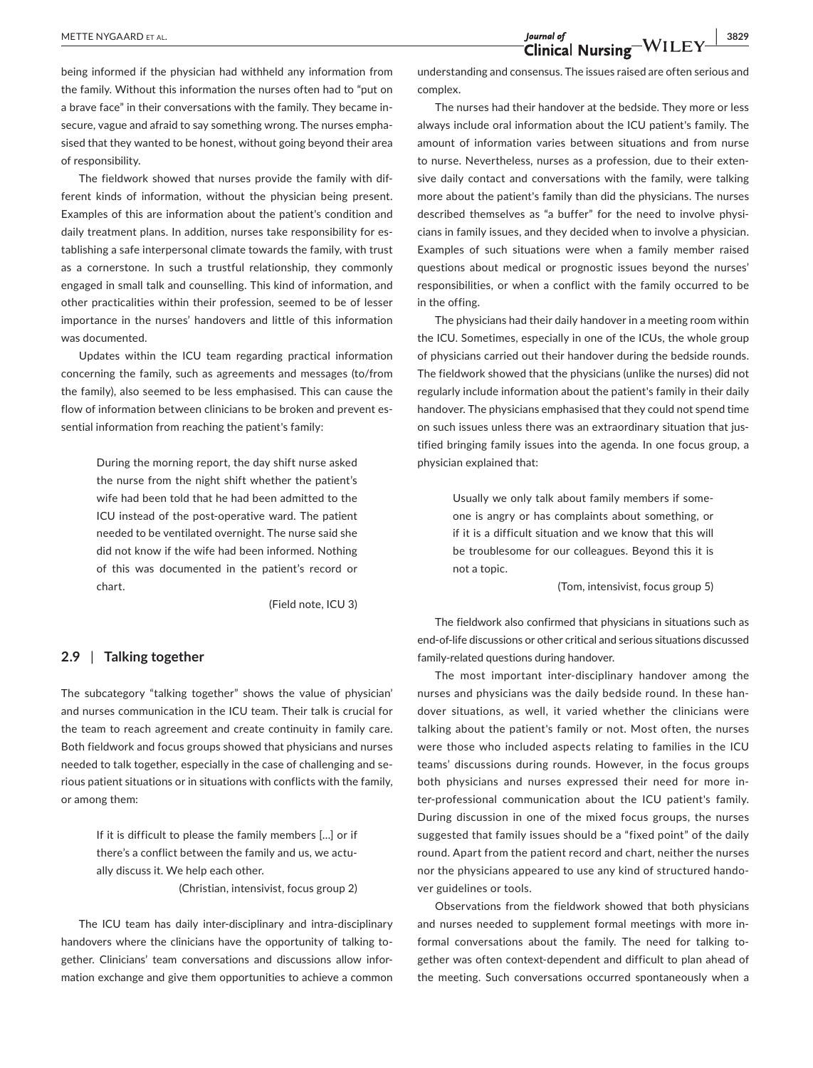**METTE NYGAARD ET AL.** 3829<br> **Clinical Nursing** WILEY 3829

being informed if the physician had withheld any information from the family. Without this information the nurses often had to "put on a brave face" in their conversations with the family. They became insecure, vague and afraid to say something wrong. The nurses emphasised that they wanted to be honest, without going beyond their area of responsibility.

The fieldwork showed that nurses provide the family with different kinds of information, without the physician being present. Examples of this are information about the patient's condition and daily treatment plans. In addition, nurses take responsibility for establishing a safe interpersonal climate towards the family, with trust as a cornerstone. In such a trustful relationship, they commonly engaged in small talk and counselling. This kind of information, and other practicalities within their profession, seemed to be of lesser importance in the nurses' handovers and little of this information was documented.

Updates within the ICU team regarding practical information concerning the family, such as agreements and messages (to/from the family), also seemed to be less emphasised. This can cause the flow of information between clinicians to be broken and prevent essential information from reaching the patient's family:

> During the morning report, the day shift nurse asked the nurse from the night shift whether the patient's wife had been told that he had been admitted to the ICU instead of the post-operative ward. The patient needed to be ventilated overnight. The nurse said she did not know if the wife had been informed. Nothing of this was documented in the patient's record or chart.

> > (Field note, ICU 3)

#### **2.9** | **Talking together**

The subcategory "talking together" shows the value of physician' and nurses communication in the ICU team. Their talk is crucial for the team to reach agreement and create continuity in family care. Both fieldwork and focus groups showed that physicians and nurses needed to talk together, especially in the case of challenging and serious patient situations or in situations with conflicts with the family, or among them:

> If it is difficult to please the family members […] or if there's a conflict between the family and us, we actually discuss it. We help each other.

(Christian, intensivist, focus group 2)

The ICU team has daily inter-disciplinary and intra-disciplinary handovers where the clinicians have the opportunity of talking together. Clinicians' team conversations and discussions allow information exchange and give them opportunities to achieve a common understanding and consensus. The issues raised are often serious and complex.

The nurses had their handover at the bedside. They more or less always include oral information about the ICU patient's family. The amount of information varies between situations and from nurse to nurse. Nevertheless, nurses as a profession, due to their extensive daily contact and conversations with the family, were talking more about the patient's family than did the physicians. The nurses described themselves as "a buffer" for the need to involve physicians in family issues, and they decided when to involve a physician. Examples of such situations were when a family member raised questions about medical or prognostic issues beyond the nurses' responsibilities, or when a conflict with the family occurred to be in the offing.

The physicians had their daily handover in a meeting room within the ICU. Sometimes, especially in one of the ICUs, the whole group of physicians carried out their handover during the bedside rounds. The fieldwork showed that the physicians (unlike the nurses) did not regularly include information about the patient's family in their daily handover. The physicians emphasised that they could not spend time on such issues unless there was an extraordinary situation that justified bringing family issues into the agenda. In one focus group, a physician explained that:

> Usually we only talk about family members if someone is angry or has complaints about something, or if it is a difficult situation and we know that this will be troublesome for our colleagues. Beyond this it is not a topic.

> > (Tom, intensivist, focus group 5)

The fieldwork also confirmed that physicians in situations such as end-of-life discussions or other critical and serious situations discussed family-related questions during handover.

The most important inter-disciplinary handover among the nurses and physicians was the daily bedside round. In these handover situations, as well, it varied whether the clinicians were talking about the patient's family or not. Most often, the nurses were those who included aspects relating to families in the ICU teams' discussions during rounds. However, in the focus groups both physicians and nurses expressed their need for more inter-professional communication about the ICU patient's family. During discussion in one of the mixed focus groups, the nurses suggested that family issues should be a "fixed point" of the daily round. Apart from the patient record and chart, neither the nurses nor the physicians appeared to use any kind of structured handover guidelines or tools.

Observations from the fieldwork showed that both physicians and nurses needed to supplement formal meetings with more informal conversations about the family. The need for talking together was often context-dependent and difficult to plan ahead of the meeting. Such conversations occurred spontaneously when a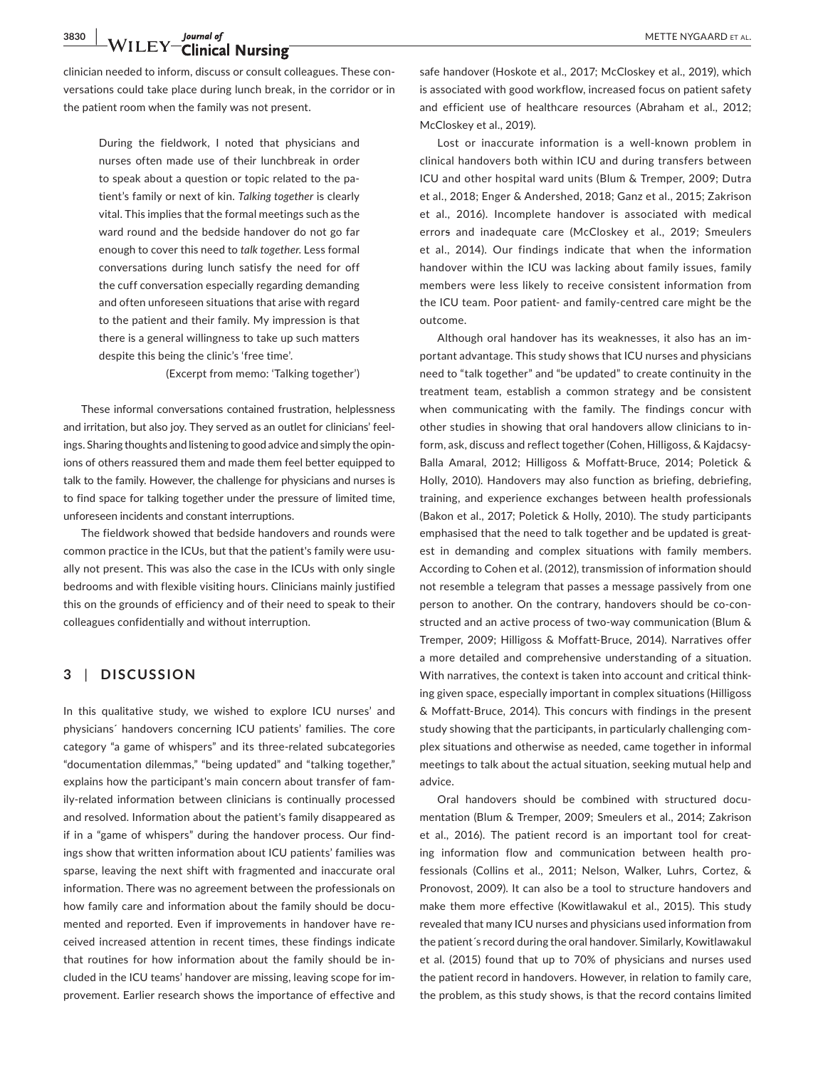**3830 WETTE NYGAARD ET AL.**<br> **1997 Clinical Nursing** 

clinician needed to inform, discuss or consult colleagues. These conversations could take place during lunch break, in the corridor or in the patient room when the family was not present.

> During the fieldwork, I noted that physicians and nurses often made use of their lunchbreak in order to speak about a question or topic related to the patient's family or next of kin. *Talking together* is clearly vital. This implies that the formal meetings such as the ward round and the bedside handover do not go far enough to cover this need to *talk together*. Less formal conversations during lunch satisfy the need for off the cuff conversation especially regarding demanding and often unforeseen situations that arise with regard to the patient and their family. My impression is that there is a general willingness to take up such matters despite this being the clinic's 'free time'.

> > (Excerpt from memo: 'Talking together')

These informal conversations contained frustration, helplessness and irritation, but also joy. They served as an outlet for clinicians' feelings. Sharing thoughts and listening to good advice and simply the opinions of others reassured them and made them feel better equipped to talk to the family. However, the challenge for physicians and nurses is to find space for talking together under the pressure of limited time, unforeseen incidents and constant interruptions.

The fieldwork showed that bedside handovers and rounds were common practice in the ICUs, but that the patient's family were usually not present. This was also the case in the ICUs with only single bedrooms and with flexible visiting hours. Clinicians mainly justified this on the grounds of efficiency and of their need to speak to their colleagues confidentially and without interruption.

#### **3** | **DISCUSSION**

In this qualitative study, we wished to explore ICU nurses' and physicians´ handovers concerning ICU patients' families. The core category "a game of whispers" and its three-related subcategories "documentation dilemmas," "being updated" and "talking together," explains how the participant's main concern about transfer of family-related information between clinicians is continually processed and resolved. Information about the patient's family disappeared as if in a "game of whispers" during the handover process. Our findings show that written information about ICU patients' families was sparse, leaving the next shift with fragmented and inaccurate oral information. There was no agreement between the professionals on how family care and information about the family should be documented and reported. Even if improvements in handover have received increased attention in recent times, these findings indicate that routines for how information about the family should be included in the ICU teams' handover are missing, leaving scope for improvement. Earlier research shows the importance of effective and

safe handover (Hoskote et al., 2017; McCloskey et al., 2019), which is associated with good workflow, increased focus on patient safety and efficient use of healthcare resources (Abraham et al., 2012; McCloskey et al., 2019).

Lost or inaccurate information is a well-known problem in clinical handovers both within ICU and during transfers between ICU and other hospital ward units (Blum & Tremper, 2009; Dutra et al., 2018; Enger & Andershed, 2018; Ganz et al., 2015; Zakrison et al., 2016). Incomplete handover is associated with medical errors and inadequate care (McCloskey et al., 2019; Smeulers et al., 2014). Our findings indicate that when the information handover within the ICU was lacking about family issues, family members were less likely to receive consistent information from the ICU team. Poor patient- and family-centred care might be the outcome.

Although oral handover has its weaknesses, it also has an important advantage. This study shows that ICU nurses and physicians need to "talk together" and "be updated" to create continuity in the treatment team, establish a common strategy and be consistent when communicating with the family. The findings concur with other studies in showing that oral handovers allow clinicians to inform, ask, discuss and reflect together (Cohen, Hilligoss, & Kajdacsy-Balla Amaral, 2012; Hilligoss & Moffatt-Bruce, 2014; Poletick & Holly, 2010). Handovers may also function as briefing, debriefing, training, and experience exchanges between health professionals (Bakon et al., 2017; Poletick & Holly, 2010). The study participants emphasised that the need to talk together and be updated is greatest in demanding and complex situations with family members. According to Cohen et al. (2012), transmission of information should not resemble a telegram that passes a message passively from one person to another. On the contrary, handovers should be co-constructed and an active process of two-way communication (Blum & Tremper, 2009; Hilligoss & Moffatt-Bruce, 2014). Narratives offer a more detailed and comprehensive understanding of a situation. With narratives, the context is taken into account and critical thinking given space, especially important in complex situations (Hilligoss & Moffatt-Bruce, 2014). This concurs with findings in the present study showing that the participants, in particularly challenging complex situations and otherwise as needed, came together in informal meetings to talk about the actual situation, seeking mutual help and advice.

Oral handovers should be combined with structured documentation (Blum & Tremper, 2009; Smeulers et al., 2014; Zakrison et al., 2016). The patient record is an important tool for creating information flow and communication between health professionals (Collins et al., 2011; Nelson, Walker, Luhrs, Cortez, & Pronovost, 2009). It can also be a tool to structure handovers and make them more effective (Kowitlawakul et al., 2015). This study revealed that many ICU nurses and physicians used information from the patient´s record during the oral handover. Similarly, Kowitlawakul et al. (2015) found that up to 70% of physicians and nurses used the patient record in handovers. However, in relation to family care, the problem, as this study shows, is that the record contains limited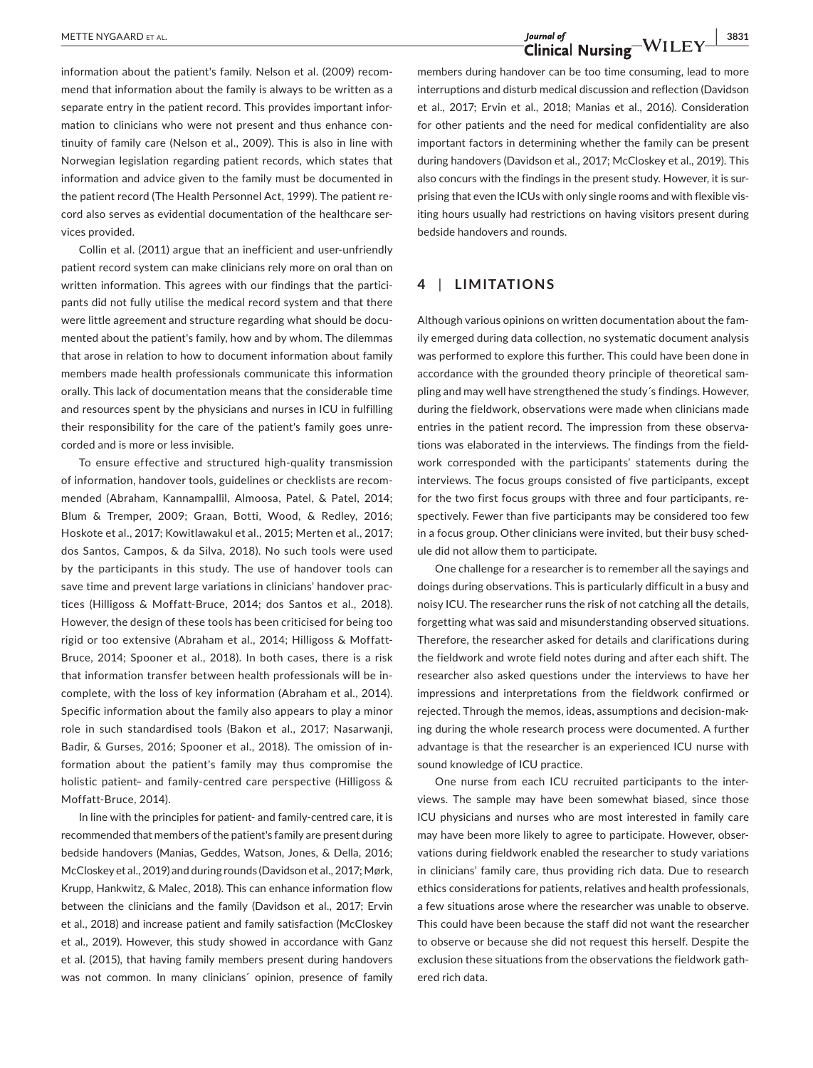information about the patient's family. Nelson et al. (2009) recommend that information about the family is always to be written as a separate entry in the patient record. This provides important information to clinicians who were not present and thus enhance continuity of family care (Nelson et al., 2009). This is also in line with Norwegian legislation regarding patient records, which states that information and advice given to the family must be documented in the patient record (The Health Personnel Act, 1999). The patient record also serves as evidential documentation of the healthcare services provided.

Collin et al. (2011) argue that an inefficient and user-unfriendly patient record system can make clinicians rely more on oral than on written information. This agrees with our findings that the participants did not fully utilise the medical record system and that there were little agreement and structure regarding what should be documented about the patient's family, how and by whom. The dilemmas that arose in relation to how to document information about family members made health professionals communicate this information orally. This lack of documentation means that the considerable time and resources spent by the physicians and nurses in ICU in fulfilling their responsibility for the care of the patient's family goes unrecorded and is more or less invisible.

To ensure effective and structured high-quality transmission of information, handover tools, guidelines or checklists are recommended (Abraham, Kannampallil, Almoosa, Patel, & Patel, 2014; Blum & Tremper, 2009; Graan, Botti, Wood, & Redley, 2016; Hoskote et al., 2017; Kowitlawakul et al., 2015; Merten et al., 2017; dos Santos, Campos, & da Silva, 2018). No such tools were used by the participants in this study. The use of handover tools can save time and prevent large variations in clinicians' handover practices (Hilligoss & Moffatt-Bruce, 2014; dos Santos et al., 2018). However, the design of these tools has been criticised for being too rigid or too extensive (Abraham et al., 2014; Hilligoss & Moffatt-Bruce, 2014; Spooner et al., 2018). In both cases, there is a risk that information transfer between health professionals will be incomplete, with the loss of key information (Abraham et al., 2014). Specific information about the family also appears to play a minor role in such standardised tools (Bakon et al., 2017; Nasarwanji, Badir, & Gurses, 2016; Spooner et al., 2018). The omission of information about the patient's family may thus compromise the holistic patient- and family-centred care perspective (Hilligoss & Moffatt-Bruce, 2014).

In line with the principles for patient- and family-centred care, it is recommended that members of the patient's family are present during bedside handovers (Manias, Geddes, Watson, Jones, & Della, 2016; McCloskey et al., 2019) and during rounds (Davidson et al., 2017; Mørk, Krupp, Hankwitz, & Malec, 2018). This can enhance information flow between the clinicians and the family (Davidson et al., 2017; Ervin et al., 2018) and increase patient and family satisfaction (McCloskey et al., 2019). However, this study showed in accordance with Ganz et al. (2015), that having family members present during handovers was not common. In many clinicians´ opinion, presence of family

members during handover can be too time consuming, lead to more interruptions and disturb medical discussion and reflection (Davidson et al., 2017; Ervin et al., 2018; Manias et al., 2016). Consideration for other patients and the need for medical confidentiality are also important factors in determining whether the family can be present during handovers (Davidson et al., 2017; McCloskey et al., 2019). This also concurs with the findings in the present study. However, it is surprising that even the ICUs with only single rooms and with flexible visiting hours usually had restrictions on having visitors present during bedside handovers and rounds.

#### **4** | **LIMITATIONS**

Although various opinions on written documentation about the family emerged during data collection, no systematic document analysis was performed to explore this further. This could have been done in accordance with the grounded theory principle of theoretical sampling and may well have strengthened the study´s findings. However, during the fieldwork, observations were made when clinicians made entries in the patient record. The impression from these observations was elaborated in the interviews. The findings from the fieldwork corresponded with the participants' statements during the interviews. The focus groups consisted of five participants, except for the two first focus groups with three and four participants, respectively. Fewer than five participants may be considered too few in a focus group. Other clinicians were invited, but their busy schedule did not allow them to participate.

One challenge for a researcher is to remember all the sayings and doings during observations. This is particularly difficult in a busy and noisy ICU. The researcher runs the risk of not catching all the details, forgetting what was said and misunderstanding observed situations. Therefore, the researcher asked for details and clarifications during the fieldwork and wrote field notes during and after each shift. The researcher also asked questions under the interviews to have her impressions and interpretations from the fieldwork confirmed or rejected. Through the memos, ideas, assumptions and decision-making during the whole research process were documented. A further advantage is that the researcher is an experienced ICU nurse with sound knowledge of ICU practice.

One nurse from each ICU recruited participants to the interviews. The sample may have been somewhat biased, since those ICU physicians and nurses who are most interested in family care may have been more likely to agree to participate. However, observations during fieldwork enabled the researcher to study variations in clinicians' family care, thus providing rich data. Due to research ethics considerations for patients, relatives and health professionals, a few situations arose where the researcher was unable to observe. This could have been because the staff did not want the researcher to observe or because she did not request this herself. Despite the exclusion these situations from the observations the fieldwork gathered rich data.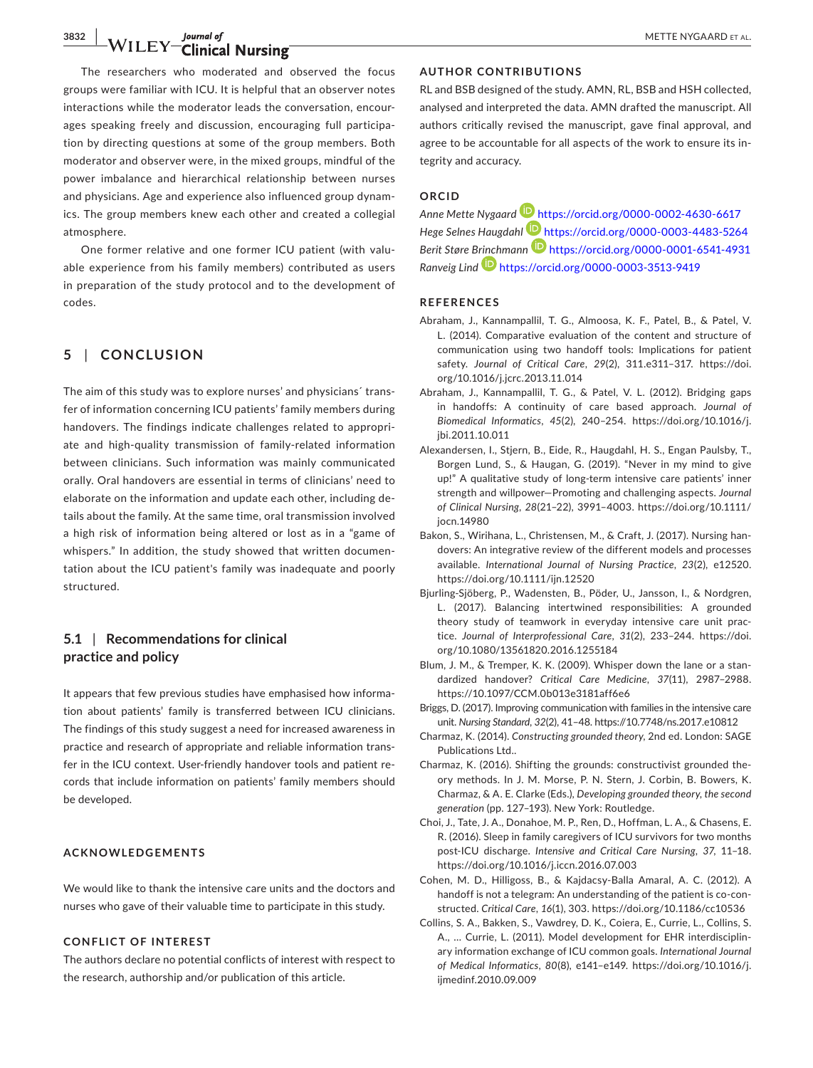### **3832 WILEY** Journal of METTE NYGAARD ET AL.

The researchers who moderated and observed the focus groups were familiar with ICU. It is helpful that an observer notes interactions while the moderator leads the conversation, encourages speaking freely and discussion, encouraging full participation by directing questions at some of the group members. Both moderator and observer were, in the mixed groups, mindful of the power imbalance and hierarchical relationship between nurses and physicians. Age and experience also influenced group dynamics. The group members knew each other and created a collegial atmosphere.

One former relative and one former ICU patient (with valuable experience from his family members) contributed as users in preparation of the study protocol and to the development of codes.

#### **5** | **CONCLUSION**

The aim of this study was to explore nurses' and physicians´ transfer of information concerning ICU patients' family members during handovers. The findings indicate challenges related to appropriate and high-quality transmission of family-related information between clinicians. Such information was mainly communicated orally. Oral handovers are essential in terms of clinicians' need to elaborate on the information and update each other, including details about the family. At the same time, oral transmission involved a high risk of information being altered or lost as in a "game of whispers." In addition, the study showed that written documentation about the ICU patient's family was inadequate and poorly structured.

#### **5.1** | **Recommendations for clinical practice and policy**

It appears that few previous studies have emphasised how information about patients' family is transferred between ICU clinicians. The findings of this study suggest a need for increased awareness in practice and research of appropriate and reliable information transfer in the ICU context. User-friendly handover tools and patient records that include information on patients' family members should be developed.

#### **ACKNOWLEDGEMENTS**

We would like to thank the intensive care units and the doctors and nurses who gave of their valuable time to participate in this study.

#### **CONFLICT OF INTEREST**

The authors declare no potential conflicts of interest with respect to the research, authorship and/or publication of this article.

#### **AUTHOR CONTRIBUTIONS**

RL and BSB designed of the study. AMN, RL, BSB and HSH collected, analysed and interpreted the data. AMN drafted the manuscript. All authors critically revised the manuscript, gave final approval, and agree to be accountable for all aspects of the work to ensure its integrity and accuracy.

#### **ORCID**

*Anne Mette Nygaard* <https://orcid.org/0000-0002-4630-6617> *Hege Selnes Haugdahl* <https://orcid.org/0000-0003-4483-5264> *Berit Støre B[rinch](https://orcid.org/0000-0003-3513-9419)mann* <https://orcid.org/0000-0001-6541-4931> *Ranveig Lind* <https://orcid.org/0000-0003-3513-9419>

#### **REFERENCES**

- Abraham, J., Kannampallil, T. G., Almoosa, K. F., Patel, B., & Patel, V. L. (2014). Comparative evaluation of the content and structure of communication using two handoff tools: Implications for patient safety. *Journal of Critical Care*, *29*(2), 311.e311–317. [https://doi.](https://doi.org/10.1016/j.jcrc.2013.11.014) [org/10.1016/j.jcrc.2013.11.014](https://doi.org/10.1016/j.jcrc.2013.11.014)
- Abraham, J., Kannampallil, T. G., & Patel, V. L. (2012). Bridging gaps in handoffs: A continuity of care based approach. *Journal of Biomedical Informatics*, *45*(2), 240–254. [https://doi.org/10.1016/j.](https://doi.org/10.1016/j.jbi.2011.10.011) [jbi.2011.10.011](https://doi.org/10.1016/j.jbi.2011.10.011)
- Alexandersen, I., Stjern, B., Eide, R., Haugdahl, H. S., Engan Paulsby, T., Borgen Lund, S., & Haugan, G. (2019). "Never in my mind to give up!" A qualitative study of long-term intensive care patients' inner strength and willpower—Promoting and challenging aspects. *Journal of Clinical Nursing*, *28*(21–22), 3991–4003. [https://doi.org/10.1111/](https://doi.org/10.1111/jocn.14980) [jocn.14980](https://doi.org/10.1111/jocn.14980)
- Bakon, S., Wirihana, L., Christensen, M., & Craft, J. (2017). Nursing handovers: An integrative review of the different models and processes available. *International Journal of Nursing Practice*, *23*(2), e12520. <https://doi.org/10.1111/ijn.12520>
- Bjurling-Sjöberg, P., Wadensten, B., Pöder, U., Jansson, I., & Nordgren, L. (2017). Balancing intertwined responsibilities: A grounded theory study of teamwork in everyday intensive care unit practice. *Journal of Interprofessional Care*, *31*(2), 233–244. [https://doi.](https://doi.org/10.1080/13561820.2016.1255184) [org/10.1080/13561820.2016.1255184](https://doi.org/10.1080/13561820.2016.1255184)
- Blum, J. M., & Tremper, K. K. (2009). Whisper down the lane or a standardized handover? *Critical Care Medicine*, *37*(11), 2987–2988. <https://10.1097/CCM.0b013e3181aff6e6>
- Briggs, D. (2017). Improving communication with families in the intensive care unit. *Nursing Standard*, *32*(2), 41–48. <https://10.7748/ns.2017.e10812>
- Charmaz, K. (2014). *Constructing grounded theory*, 2nd ed. London: SAGE Publications Ltd..
- Charmaz, K. (2016). Shifting the grounds: constructivist grounded theory methods. In J. M. Morse, P. N. Stern, J. Corbin, B. Bowers, K. Charmaz, & A. E. Clarke (Eds.), *Developing grounded theory, the second generation* (pp. 127–193). New York: Routledge.
- Choi, J., Tate, J. A., Donahoe, M. P., Ren, D., Hoffman, L. A., & Chasens, E. R. (2016). Sleep in family caregivers of ICU survivors for two months post-ICU discharge. *Intensive and Critical Care Nursing*, *37*, 11–18. <https://doi.org/10.1016/j.iccn.2016.07.003>
- Cohen, M. D., Hilligoss, B., & Kajdacsy-Balla Amaral, A. C. (2012). A handoff is not a telegram: An understanding of the patient is co-constructed. *Critical Care*, *16*(1), 303. <https://doi.org/10.1186/cc10536>
- Collins, S. A., Bakken, S., Vawdrey, D. K., Coiera, E., Currie, L., Collins, S. A., … Currie, L. (2011). Model development for EHR interdisciplinary information exchange of ICU common goals. *International Journal of Medical Informatics*, *80*(8), e141–e149. [https://doi.org/10.1016/j.](https://doi.org/10.1016/j.ijmedinf.2010.09.009) [ijmedinf.2010.09.009](https://doi.org/10.1016/j.ijmedinf.2010.09.009)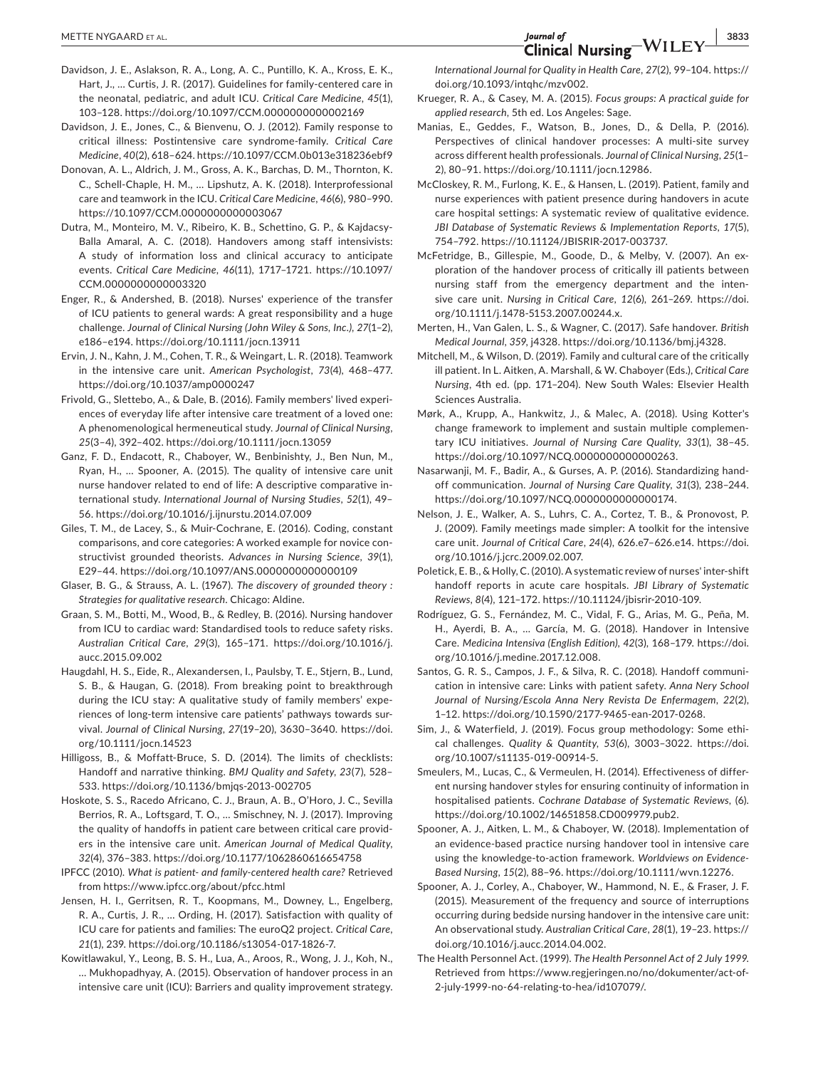- Davidson, J. E., Aslakson, R. A., Long, A. C., Puntillo, K. A., Kross, E. K., Hart, J., … Curtis, J. R. (2017). Guidelines for family-centered care in the neonatal, pediatric, and adult ICU. *Critical Care Medicine*, *45*(1), 103–128. <https://doi.org/10.1097/CCM.0000000000002169>
- Davidson, J. E., Jones, C., & Bienvenu, O. J. (2012). Family response to critical illness: Postintensive care syndrome-family. *Critical Care Medicine*, *40*(2), 618–624.<https://10.1097/CCM.0b013e318236ebf9>
- Donovan, A. L., Aldrich, J. M., Gross, A. K., Barchas, D. M., Thornton, K. C., Schell-Chaple, H. M., … Lipshutz, A. K. (2018). Interprofessional care and teamwork in the ICU. *Critical Care Medicine*, *46*(6), 980–990. <https://10.1097/CCM.0000000000003067>
- Dutra, M., Monteiro, M. V., Ribeiro, K. B., Schettino, G. P., & Kajdacsy-Balla Amaral, A. C. (2018). Handovers among staff intensivists: A study of information loss and clinical accuracy to anticipate events. *Critical Care Medicine*, *46*(11), 1717–1721. [https://10.1097/](https://10.1097/CCM.0000000000003320) [CCM.0000000000003320](https://10.1097/CCM.0000000000003320)
- Enger, R., & Andershed, B. (2018). Nurses' experience of the transfer of ICU patients to general wards: A great responsibility and a huge challenge. *Journal of Clinical Nursing (John Wiley & Sons, Inc.)*, *27*(1–2), e186–e194. <https://doi.org/10.1111/jocn.13911>
- Ervin, J. N., Kahn, J. M., Cohen, T. R., & Weingart, L. R. (2018). Teamwork in the intensive care unit. *American Psychologist*, *73*(4), 468–477. <https://doi.org/10.1037/amp0000247>
- Frivold, G., Slettebo, A., & Dale, B. (2016). Family members' lived experiences of everyday life after intensive care treatment of a loved one: A phenomenological hermeneutical study. *Journal of Clinical Nursing*, *25*(3–4), 392–402. <https://doi.org/10.1111/jocn.13059>
- Ganz, F. D., Endacott, R., Chaboyer, W., Benbinishty, J., Ben Nun, M., Ryan, H., … Spooner, A. (2015). The quality of intensive care unit nurse handover related to end of life: A descriptive comparative international study. *International Journal of Nursing Studies*, *52*(1), 49– 56.<https://doi.org/10.1016/j.ijnurstu.2014.07.009>
- Giles, T. M., de Lacey, S., & Muir-Cochrane, E. (2016). Coding, constant comparisons, and core categories: A worked example for novice constructivist grounded theorists. *Advances in Nursing Science*, *39*(1), E29–44.<https://doi.org/10.1097/ANS.0000000000000109>
- Glaser, B. G., & Strauss, A. L. (1967). *The discovery of grounded theory : Strategies for qualitative research*. Chicago: Aldine.
- Graan, S. M., Botti, M., Wood, B., & Redley, B. (2016). Nursing handover from ICU to cardiac ward: Standardised tools to reduce safety risks. *Australian Critical Care*, *29*(3), 165–171. [https://doi.org/10.1016/j.](https://doi.org/10.1016/j.aucc.2015.09.002) [aucc.2015.09.002](https://doi.org/10.1016/j.aucc.2015.09.002)
- Haugdahl, H. S., Eide, R., Alexandersen, I., Paulsby, T. E., Stjern, B., Lund, S. B., & Haugan, G. (2018). From breaking point to breakthrough during the ICU stay: A qualitative study of family members' experiences of long-term intensive care patients' pathways towards survival. *Journal of Clinical Nursing*, *27*(19–20), 3630–3640. [https://doi.](https://doi.org/10.1111/jocn.14523) [org/10.1111/jocn.14523](https://doi.org/10.1111/jocn.14523)
- Hilligoss, B., & Moffatt-Bruce, S. D. (2014). The limits of checklists: Handoff and narrative thinking. *BMJ Quality and Safety*, *23*(7), 528– 533. <https://doi.org/10.1136/bmjqs-2013-002705>
- Hoskote, S. S., Racedo Africano, C. J., Braun, A. B., O'Horo, J. C., Sevilla Berrios, R. A., Loftsgard, T. O., … Smischney, N. J. (2017). Improving the quality of handoffs in patient care between critical care providers in the intensive care unit. *American Journal of Medical Quality*, *32*(4), 376–383. <https://doi.org/10.1177/1062860616654758>
- IPFCC (2010). *What is patient- and family-centered health care?* Retrieved from <https://www.ipfcc.org/about/pfcc.html>
- Jensen, H. I., Gerritsen, R. T., Koopmans, M., Downey, L., Engelberg, R. A., Curtis, J. R., … Ording, H. (2017). Satisfaction with quality of ICU care for patients and families: The euroQ2 project. *Critical Care*, *21*(1), 239.<https://doi.org/10.1186/s13054-017-1826-7>.
- Kowitlawakul, Y., Leong, B. S. H., Lua, A., Aroos, R., Wong, J. J., Koh, N., … Mukhopadhyay, A. (2015). Observation of handover process in an intensive care unit (ICU): Barriers and quality improvement strategy.

*International Journal for Quality in Health Care*, *27*(2), 99–104. [https://](https://doi.org/10.1093/intqhc/mzv002) [doi.org/10.1093/intqhc/mzv002](https://doi.org/10.1093/intqhc/mzv002).

- Krueger, R. A., & Casey, M. A. (2015). *Focus groups: A practical guide for applied research*, 5th ed. Los Angeles: Sage.
- Manias, E., Geddes, F., Watson, B., Jones, D., & Della, P. (2016). Perspectives of clinical handover processes: A multi-site survey across different health professionals. *Journal of Clinical Nursing*, *25*(1– 2), 80–91. [https://doi.org/10.1111/jocn.12986.](https://doi.org/10.1111/jocn.12986)
- McCloskey, R. M., Furlong, K. E., & Hansen, L. (2019). Patient, family and nurse experiences with patient presence during handovers in acute care hospital settings: A systematic review of qualitative evidence. *JBI Database of Systematic Reviews & Implementation Reports*, *17*(5), 754–792. [https://10.11124/JBISRIR-2017-003737.](https://10.11124/JBISRIR-2017-003737)
- McFetridge, B., Gillespie, M., Goode, D., & Melby, V. (2007). An exploration of the handover process of critically ill patients between nursing staff from the emergency department and the intensive care unit. *Nursing in Critical Care*, *12*(6), 261–269. [https://doi.](https://doi.org/10.1111/j.1478-5153.2007.00244.x) [org/10.1111/j.1478-5153.2007.00244.x](https://doi.org/10.1111/j.1478-5153.2007.00244.x).
- Merten, H., Van Galen, L. S., & Wagner, C. (2017). Safe handover. *British Medical Journal*, *359*, j4328.<https://doi.org/10.1136/bmj.j4328>.
- Mitchell, M., & Wilson, D. (2019). Family and cultural care of the critically ill patient. In L. Aitken, A. Marshall, & W. Chaboyer (Eds.), *Critical Care Nursing*, 4th ed. (pp. 171–204). New South Wales: Elsevier Health Sciences Australia.
- Mørk, A., Krupp, A., Hankwitz, J., & Malec, A. (2018). Using Kotter's change framework to implement and sustain multiple complementary ICU initiatives. *Journal of Nursing Care Quality*, *33*(1), 38–45. <https://doi.org/10.1097/NCQ.0000000000000263>.
- Nasarwanji, M. F., Badir, A., & Gurses, A. P. (2016). Standardizing handoff communication. *Journal of Nursing Care Quality*, *31*(3), 238–244. <https://doi.org/10.1097/NCQ.0000000000000174>.
- Nelson, J. E., Walker, A. S., Luhrs, C. A., Cortez, T. B., & Pronovost, P. J. (2009). Family meetings made simpler: A toolkit for the intensive care unit. *Journal of Critical Care*, *24*(4), 626.e7–626.e14. [https://doi.](https://doi.org/10.1016/j.jcrc.2009.02.007) [org/10.1016/j.jcrc.2009.02.007.](https://doi.org/10.1016/j.jcrc.2009.02.007)
- Poletick, E. B., & Holly, C. (2010). A systematic review of nurses' inter-shift handoff reports in acute care hospitals. *JBI Library of Systematic Reviews*, *8*(4), 121–172. <https://10.11124/jbisrir-2010-109>.
- Rodríguez, G. S., Fernández, M. C., Vidal, F. G., Arias, M. G., Peña, M. H., Ayerdi, B. A., … García, M. G. (2018). Handover in Intensive Care. *Medicina Intensiva (English Edition)*, *42*(3), 168–179. [https://doi.](https://doi.org/10.1016/j.medine.2017.12.008) [org/10.1016/j.medine.2017.12.008](https://doi.org/10.1016/j.medine.2017.12.008).
- Santos, G. R. S., Campos, J. F., & Silva, R. C. (2018). Handoff communication in intensive care: Links with patient safety. *Anna Nery School Journal of Nursing/Escola Anna Nery Revista De Enfermagem*, *22*(2), 1–12. <https://doi.org/10.1590/2177-9465-ean-2017-0268>.
- Sim, J., & Waterfield, J. (2019). Focus group methodology: Some ethical challenges. *Quality & Quantity*, *53*(6), 3003–3022. [https://doi.](https://doi.org/10.1007/s11135-019-00914-5) [org/10.1007/s11135-019-00914-5.](https://doi.org/10.1007/s11135-019-00914-5)
- Smeulers, M., Lucas, C., & Vermeulen, H. (2014). Effectiveness of different nursing handover styles for ensuring continuity of information in hospitalised patients. *Cochrane Database of Systematic Reviews*, (6). [https://doi.org/10.1002/14651858.CD009979.pub2.](https://doi.org/10.1002/14651858.CD009979.pub2)
- Spooner, A. J., Aitken, L. M., & Chaboyer, W. (2018). Implementation of an evidence-based practice nursing handover tool in intensive care using the knowledge-to-action framework. *Worldviews on Evidence-Based Nursing*, *15*(2), 88–96. [https://doi.org/10.1111/wvn.12276.](https://doi.org/10.1111/wvn.12276)
- Spooner, A. J., Corley, A., Chaboyer, W., Hammond, N. E., & Fraser, J. F. (2015). Measurement of the frequency and source of interruptions occurring during bedside nursing handover in the intensive care unit: An observational study. *Australian Critical Care*, *28*(1), 19–23. [https://](https://doi.org/10.1016/j.aucc.2014.04.002) [doi.org/10.1016/j.aucc.2014.04.002](https://doi.org/10.1016/j.aucc.2014.04.002).
- The Health Personnel Act. (1999). *The Health Personnel Act of 2 July 1999*. Retrieved from [https://www.regjeringen.no/no/dokumenter/act-of-](https://www.regjeringen.no/no/dokumenter/act-of-2-july-1999-no-64-relating-to-hea/id107079/)[2-july-1999-no-64-relating-to-hea/id107079/.](https://www.regjeringen.no/no/dokumenter/act-of-2-july-1999-no-64-relating-to-hea/id107079/)